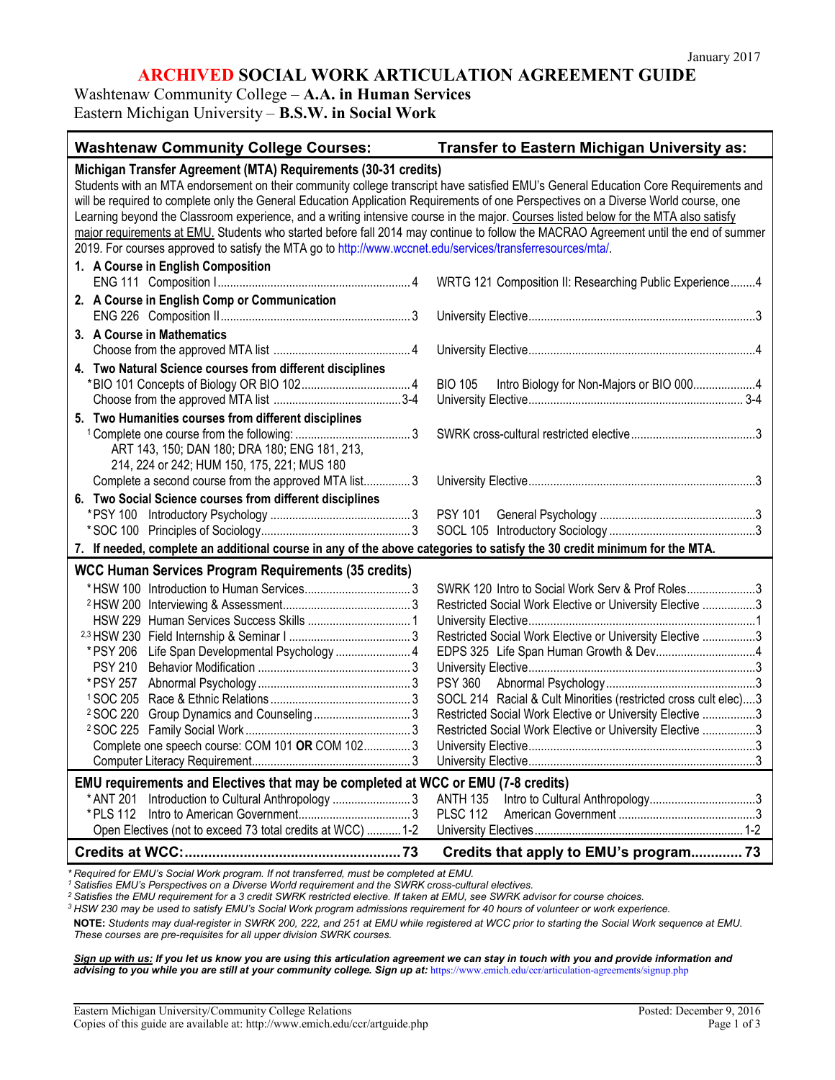# **ARCHIVED SOCIAL WORK ARTICULATION AGREEMENT GUIDE**

Washtenaw Community College – **A.A. in Human Services** Eastern Michigan University – **B.S.W. in Social Work** 

| <b>Washtenaw Community College Courses:</b>                                                                                                                                                                                                                                                                                                                                                                                                                                                                                                                                                                                                                                                                                                | <b>Transfer to Eastern Michigan University as:</b>                                                                                                                                                                                                                                                                                                                                                                                                  |  |
|--------------------------------------------------------------------------------------------------------------------------------------------------------------------------------------------------------------------------------------------------------------------------------------------------------------------------------------------------------------------------------------------------------------------------------------------------------------------------------------------------------------------------------------------------------------------------------------------------------------------------------------------------------------------------------------------------------------------------------------------|-----------------------------------------------------------------------------------------------------------------------------------------------------------------------------------------------------------------------------------------------------------------------------------------------------------------------------------------------------------------------------------------------------------------------------------------------------|--|
| Michigan Transfer Agreement (MTA) Requirements (30-31 credits)<br>Students with an MTA endorsement on their community college transcript have satisfied EMU's General Education Core Requirements and<br>will be required to complete only the General Education Application Requirements of one Perspectives on a Diverse World course, one<br>Learning beyond the Classroom experience, and a writing intensive course in the major. Courses listed below for the MTA also satisfy<br>major requirements at EMU. Students who started before fall 2014 may continue to follow the MACRAO Agreement until the end of summer<br>2019. For courses approved to satisfy the MTA go to http://www.wccnet.edu/services/transferresources/mta/. |                                                                                                                                                                                                                                                                                                                                                                                                                                                     |  |
| 1. A Course in English Composition                                                                                                                                                                                                                                                                                                                                                                                                                                                                                                                                                                                                                                                                                                         | WRTG 121 Composition II: Researching Public Experience4                                                                                                                                                                                                                                                                                                                                                                                             |  |
| 2. A Course in English Comp or Communication                                                                                                                                                                                                                                                                                                                                                                                                                                                                                                                                                                                                                                                                                               |                                                                                                                                                                                                                                                                                                                                                                                                                                                     |  |
| 3. A Course in Mathematics                                                                                                                                                                                                                                                                                                                                                                                                                                                                                                                                                                                                                                                                                                                 |                                                                                                                                                                                                                                                                                                                                                                                                                                                     |  |
| 4. Two Natural Science courses from different disciplines                                                                                                                                                                                                                                                                                                                                                                                                                                                                                                                                                                                                                                                                                  |                                                                                                                                                                                                                                                                                                                                                                                                                                                     |  |
|                                                                                                                                                                                                                                                                                                                                                                                                                                                                                                                                                                                                                                                                                                                                            | <b>BIO 105</b><br>Intro Biology for Non-Majors or BIO 0004                                                                                                                                                                                                                                                                                                                                                                                          |  |
| 5. Two Humanities courses from different disciplines                                                                                                                                                                                                                                                                                                                                                                                                                                                                                                                                                                                                                                                                                       |                                                                                                                                                                                                                                                                                                                                                                                                                                                     |  |
| ART 143, 150; DAN 180; DRA 180; ENG 181, 213,<br>214, 224 or 242; HUM 150, 175, 221; MUS 180                                                                                                                                                                                                                                                                                                                                                                                                                                                                                                                                                                                                                                               |                                                                                                                                                                                                                                                                                                                                                                                                                                                     |  |
| Complete a second course from the approved MTA list3                                                                                                                                                                                                                                                                                                                                                                                                                                                                                                                                                                                                                                                                                       |                                                                                                                                                                                                                                                                                                                                                                                                                                                     |  |
| 6. Two Social Science courses from different disciplines                                                                                                                                                                                                                                                                                                                                                                                                                                                                                                                                                                                                                                                                                   |                                                                                                                                                                                                                                                                                                                                                                                                                                                     |  |
| 7. If needed, complete an additional course in any of the above categories to satisfy the 30 credit minimum for the MTA.                                                                                                                                                                                                                                                                                                                                                                                                                                                                                                                                                                                                                   |                                                                                                                                                                                                                                                                                                                                                                                                                                                     |  |
| <b>WCC Human Services Program Requirements (35 credits)</b><br>Life Span Developmental Psychology  4<br>* PSY 206<br><b>PSY 210</b><br>* PSY 257<br>Complete one speech course: COM 101 OR COM 102 3<br>EMU requirements and Electives that may be completed at WCC or EMU (7-8 credits)<br>Introduction to Cultural Anthropology  3<br>* ANT 201<br>* PLS 112                                                                                                                                                                                                                                                                                                                                                                             | SWRK 120 Intro to Social Work Serv & Prof Roles3<br>Restricted Social Work Elective or University Elective 3<br>Restricted Social Work Elective or University Elective 3<br>EDPS 325 Life Span Human Growth & Dev4<br>SOCL 214 Racial & Cult Minorities (restricted cross cult elec)3<br>Restricted Social Work Elective or University Elective 3<br>Restricted Social Work Elective or University Elective 3<br><b>ANTH 135</b><br><b>PLSC 112</b> |  |
| Open Electives (not to exceed 73 total credits at WCC)  1-2                                                                                                                                                                                                                                                                                                                                                                                                                                                                                                                                                                                                                                                                                |                                                                                                                                                                                                                                                                                                                                                                                                                                                     |  |
|                                                                                                                                                                                                                                                                                                                                                                                                                                                                                                                                                                                                                                                                                                                                            | Credits that apply to EMU's program 73                                                                                                                                                                                                                                                                                                                                                                                                              |  |

*\* Required for EMU's Social Work program. If not transferred, must be completed at EMU.*

*<sup>1</sup> Satisfies EMU's Perspectives on a Diverse World requirement and the SWRK cross-cultural electives.*

*<sup>2</sup> Satisfies the EMU requirement for a 3 credit SWRK restricted elective. If taken at EMU, see SWRK advisor for course choices.*

*<sup>3</sup> HSW 230 may be used to satisfy EMU's Social Work program admissions requirement for 40 hours of volunteer or work experience.*

**NOTE:** *Students may dual-register in SWRK 200, 222, and 251 at EMU while registered at WCC prior to starting the Social Work sequence at EMU. These courses are pre-requisites for all upper division SWRK courses.* 

*Sign up with us: If you let us know you are using this articulation agreement we can stay in touch with you and provide information and*  advising to you while you are still at your community college. Sign up at: <https://www.emich.edu/ccr/articulation-agreements/signup.php>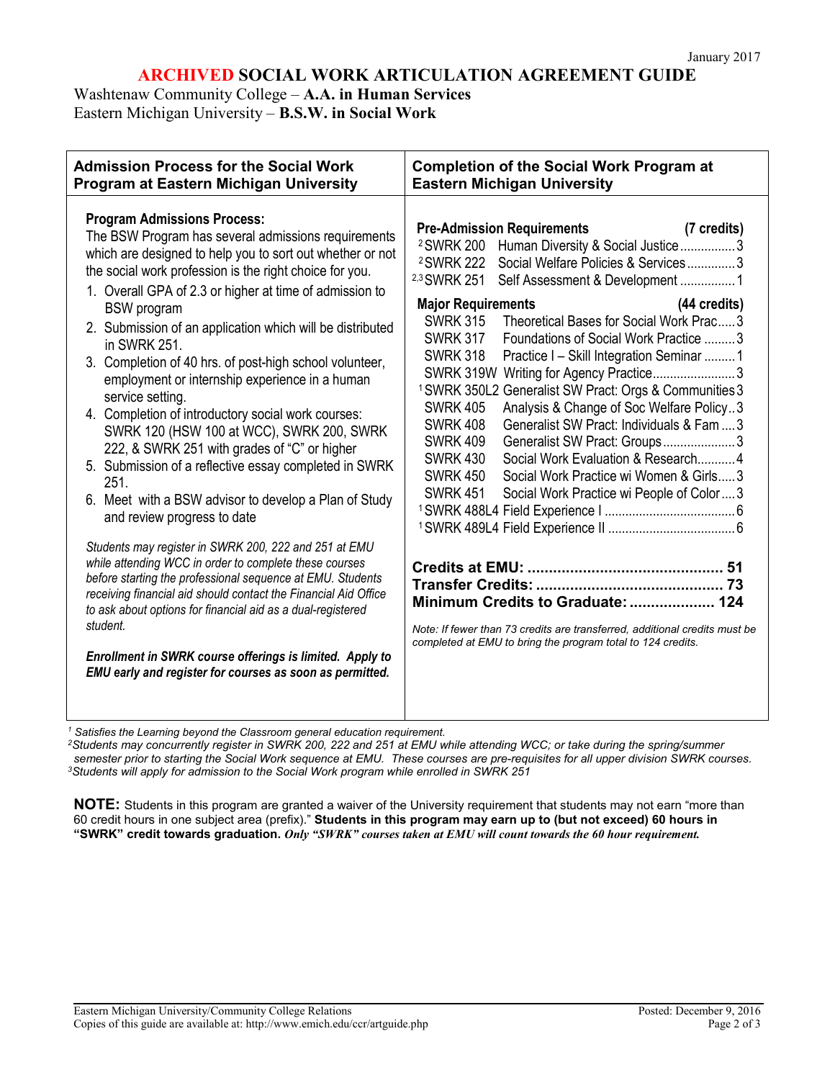# **ARCHIVED SOCIAL WORK ARTICULATION AGREEMENT GUIDE**

Washtenaw Community College – **A.A. in Human Services** Eastern Michigan University – **B.S.W. in Social Work** 

| <b>Admission Process for the Social Work</b>                                                                                                                                                                                                                                                                                                                                                                                                                                                                                                                                                                                                                                                                                                                                                                                                                                                                                                                                                                                                                                                                                                                                                                                                                                        | <b>Completion of the Social Work Program at</b>                                                                                                                                                                                                                                                                                                                                                                                                                                                                                                                                                                                                                                                                                                                                                                                                                                                                                                                                                                                                                                                                           |
|-------------------------------------------------------------------------------------------------------------------------------------------------------------------------------------------------------------------------------------------------------------------------------------------------------------------------------------------------------------------------------------------------------------------------------------------------------------------------------------------------------------------------------------------------------------------------------------------------------------------------------------------------------------------------------------------------------------------------------------------------------------------------------------------------------------------------------------------------------------------------------------------------------------------------------------------------------------------------------------------------------------------------------------------------------------------------------------------------------------------------------------------------------------------------------------------------------------------------------------------------------------------------------------|---------------------------------------------------------------------------------------------------------------------------------------------------------------------------------------------------------------------------------------------------------------------------------------------------------------------------------------------------------------------------------------------------------------------------------------------------------------------------------------------------------------------------------------------------------------------------------------------------------------------------------------------------------------------------------------------------------------------------------------------------------------------------------------------------------------------------------------------------------------------------------------------------------------------------------------------------------------------------------------------------------------------------------------------------------------------------------------------------------------------------|
| Program at Eastern Michigan University                                                                                                                                                                                                                                                                                                                                                                                                                                                                                                                                                                                                                                                                                                                                                                                                                                                                                                                                                                                                                                                                                                                                                                                                                                              | <b>Eastern Michigan University</b>                                                                                                                                                                                                                                                                                                                                                                                                                                                                                                                                                                                                                                                                                                                                                                                                                                                                                                                                                                                                                                                                                        |
| <b>Program Admissions Process:</b><br>The BSW Program has several admissions requirements<br>which are designed to help you to sort out whether or not<br>the social work profession is the right choice for you.<br>1. Overall GPA of 2.3 or higher at time of admission to<br><b>BSW</b> program<br>2. Submission of an application which will be distributed<br>in SWRK 251.<br>3. Completion of 40 hrs. of post-high school volunteer,<br>employment or internship experience in a human<br>service setting.<br>4. Completion of introductory social work courses:<br>SWRK 120 (HSW 100 at WCC), SWRK 200, SWRK<br>222, & SWRK 251 with grades of "C" or higher<br>5. Submission of a reflective essay completed in SWRK<br>251.<br>6. Meet with a BSW advisor to develop a Plan of Study<br>and review progress to date<br>Students may register in SWRK 200, 222 and 251 at EMU<br>while attending WCC in order to complete these courses<br>before starting the professional sequence at EMU. Students<br>receiving financial aid should contact the Financial Aid Office<br>to ask about options for financial aid as a dual-registered<br>student.<br>Enrollment in SWRK course offerings is limited. Apply to<br>EMU early and register for courses as soon as permitted. | <b>Pre-Admission Requirements</b><br>(7 credits)<br><sup>2</sup> SWRK 200<br>Human Diversity & Social Justice3<br><sup>2</sup> SWRK 222<br>Social Welfare Policies & Services3<br><sup>2,3</sup> SWRK 251<br><b>Major Requirements</b><br>(44 credits)<br>Theoretical Bases for Social Work Prac3<br><b>SWRK 315</b><br><b>SWRK 317</b><br>Foundations of Social Work Practice 3<br><b>SWRK 318</b><br>Practice I – Skill Integration Seminar 1<br>SWRK 319W Writing for Agency Practice3<br><sup>1</sup> SWRK 350L2 Generalist SW Pract: Orgs & Communities 3<br>Analysis & Change of Soc Welfare Policy3<br><b>SWRK 405</b><br><b>SWRK 408</b><br>Generalist SW Pract: Individuals & Fam  3<br><b>SWRK 409</b><br>Generalist SW Pract: Groups3<br>Social Work Evaluation & Research 4<br><b>SWRK 430</b><br><b>SWRK 450</b><br>Social Work Practice wi Women & Girls 3<br><b>SWRK 451</b><br>Social Work Practice wi People of Color3<br>Minimum Credits to Graduate:  124<br>Note: If fewer than 73 credits are transferred, additional credits must be<br>completed at EMU to bring the program total to 124 credits. |

*<sup>1</sup> Satisfies the Learning beyond the Classroom general education requirement.*

*2Students may concurrently register in SWRK 200, 222 and 251 at EMU while attending WCC; or take during the spring/summer semester prior to starting the Social Work sequence at EMU. These courses are pre-requisites for all upper division SWRK courses. 3Students will apply for admission to the Social Work program while enrolled in SWRK 251*

**NOTE:** Students in this program are granted a waiver of the University requirement that students may not earn "more than 60 credit hours in one subject area (prefix)." **Students in this program may earn up to (but not exceed) 60 hours in** "SWRK" credit towards graduation. Only "SWRK" courses taken at EMU will count towards the 60 hour requirement.